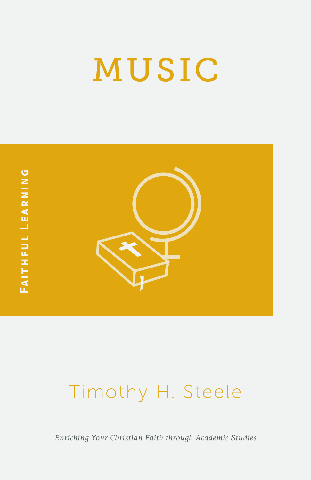# MUSIC



## Timothy H. Steele

*Enriching Your Christian Faith through Academic Studies*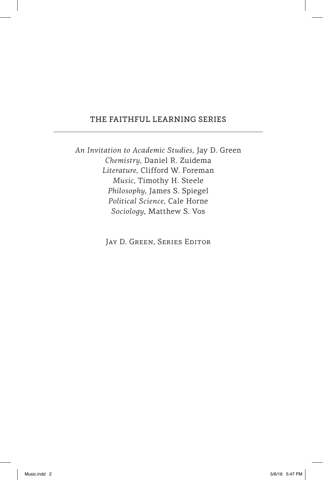#### THE FAITHFUL LEARNING SERIES

*An Invitation to Academic Studies*, Jay D. Green *Chemistry*, Daniel R. Zuidema *Literature*, Clifford W. Foreman *Music*, Timothy H. Steele *Philosophy*, James S. Spiegel *Political Science*, Cale Horne *Sociology*, Matthew S. Vos

JAY D. GREEN, SERIES EDITOR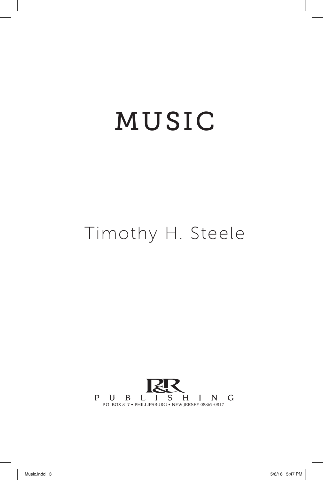## MUSIC MUSIC

### Timothy H. Steele

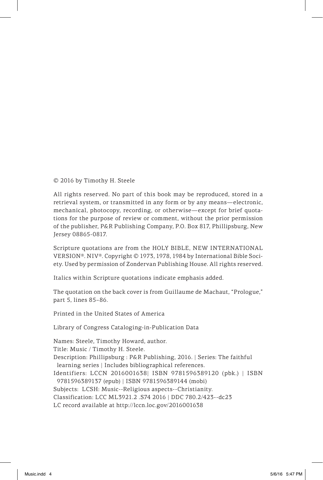© 2016 by Timothy H. Steele

All rights reserved. No part of this book may be reproduced, stored in a retrieval system, or transmitted in any form or by any means—electronic, mechanical, photocopy, recording, or otherwise—except for brief quotations for the purpose of review or comment, without the prior permission of the publisher, P&R Publishing Company, P.O. Box 817, Phillipsburg, New Jersey 08865-0817.

Scripture quotations are from the HOLY BIBLE, NEW INTERNATIONAL VERSION®. NIV®. Copyright © 1973, 1978, 1984 by International Bible Society. Used by permission of Zondervan Publishing House. All rights reserved.

Italics within Scripture quotations indicate emphasis added.

The quotation on the back cover is from Guillaume de Machaut, "Prologue," part 5, lines 85–86.

Printed in the United States of America

Library of Congress Cataloging-in-Publication Data

Names: Steele, Timothy Howard, author.

Title: Music / Timothy H. Steele.

Description: Phillipsburg : P&R Publishing, 2016. | Series: The faithful learning series | Includes bibliographical references.

Identifiers: LCCN 2016001638| ISBN 9781596389120 (pbk.) | ISBN 9781596389137 (epub) | ISBN 9781596389144 (mobi)

Subjects: LCSH: Music--Religious aspects--Christianity.

Classification: LCC ML3921.2 .S74 2016 | DDC 780.2/423--dc23

LC record available at http://lccn.loc.gov/2016001638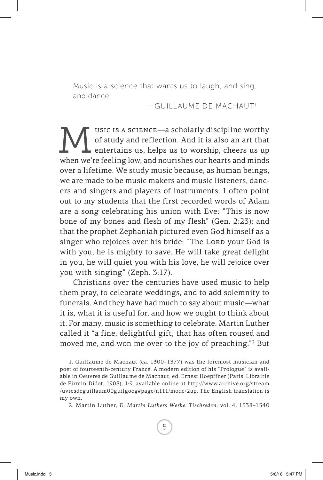Music is a science that wants us to laugh, and sing, and dance.

—GUILLAUME DE MACHAUT1

WE USIC IS A SCIENCE—a scholarly discipline worthy<br>of study and reflection. And it is also an art that<br>urban un're feeling low and nourishes our hearts and minds of study and reflection. And it is also an art that **L** entertains us, helps us to worship, cheers us up when we're feeling low, and nourishes our hearts and minds over a lifetime. We study music because, as human beings, we are made to be music makers and music listeners, dancers and singers and players of instruments. I often point out to my students that the first recorded words of Adam are a song celebrating his union with Eve: "This is now bone of my bones and flesh of my flesh" (Gen. 2:23); and that the prophet Zephaniah pictured even God himself as a singer who rejoices over his bride: "The Lorp your God is with you, he is mighty to save. He will take great delight in you, he will quiet you with his love, he will rejoice over you with singing" (Zeph. 3:17).

Christians over the centuries have used music to help them pray, to celebrate weddings, and to add solemnity to funerals. And they have had much to say about music—what it is, what it is useful for, and how we ought to think about it. For many, music is something to celebrate. Martin Luther called it "a fine, delightful gift, that has often roused and moved me, and won me over to the joy of preaching."2 But

1. Guillaume de Machaut (ca. 1300–1377) was the foremost musician and poet of fourteenth-century France. A modern edition of his "Prologue" is available in Oeuvres de Guillaume de Machaut, ed. Ernest Hoepffner (Paris: Librairie de Firmin-Didot, 1908), 1:9, available online at http://www.archive.org/stream /uvresdeguillaum00guilgoog#page/n111/mode/2up. The English translation is my own.

2. Martin Luther, *D. Martin Luthers Werke: Tischreden*, vol. 4, 1538–1540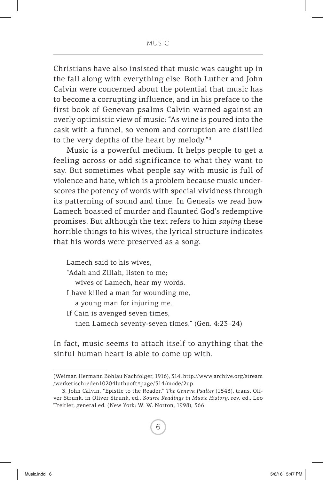#### MUSIC

Christians have also insisted that music was caught up in the fall along with everything else. Both Luther and John Calvin were concerned about the potential that music has to become a corrupting influence, and in his preface to the first book of Genevan psalms Calvin warned against an overly optimistic view of music: "As wine is poured into the cask with a funnel, so venom and corruption are distilled to the very depths of the heart by melody."3

Music is a powerful medium. It helps people to get a feeling across or add significance to what they want to say. But sometimes what people say with music is full of violence and hate, which is a problem because music underscores the potency of words with special vividness through its patterning of sound and time. In Genesis we read how Lamech boasted of murder and flaunted God's redemptive promises. But although the text refers to him *saying* these horrible things to his wives, the lyrical structure indicates that his words were preserved as a song.

Lamech said to his wives, "Adah and Zillah, listen to me; wives of Lamech, hear my words. I have killed a man for wounding me, a young man for injuring me. If Cain is avenged seven times, then Lamech seventy-seven times." (Gen. 4:23–24)

In fact, music seems to attach itself to anything that the sinful human heart is able to come up with.

<sup>(</sup>Weimar: Hermann Böhlau Nachfolger, 1916), 314, http://www.archive.org/stream /werketischreden10204luthuoft#page/314/mode/2up.

<sup>3.</sup> John Calvin, "Epistle to the Reader," *The Geneva Psalter* (1543), trans. Oliver Strunk, in Oliver Strunk, ed., *Source Readings in Music History*, rev. ed., Leo Treitler, general ed. (New York: W. W. Norton, 1998), 366.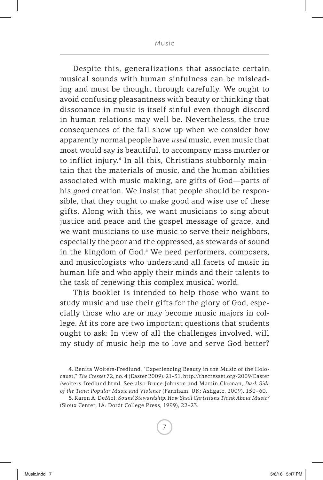Despite this, generalizations that associate certain musical sounds with human sinfulness can be misleading and must be thought through carefully. We ought to avoid confusing pleasantness with beauty or thinking that dissonance in music is itself sinful even though discord in human relations may well be. Nevertheless, the true consequences of the fall show up when we consider how apparently normal people have *used* music, even music that most would say is beautiful, to accompany mass murder or to inflict injury.4 In all this, Christians stubbornly maintain that the materials of music, and the human abilities associated with music making, are gifts of God—parts of his *good* creation. We insist that people should be responsible, that they ought to make good and wise use of these gifts. Along with this, we want musicians to sing about justice and peace and the gospel message of grace, and we want musicians to use music to serve their neighbors, especially the poor and the oppressed, as stewards of sound in the kingdom of God.<sup>5</sup> We need performers, composers, and musicologists who understand all facets of music in human life and who apply their minds and their talents to the task of renewing this complex musical world.

This booklet is intended to help those who want to study music and use their gifts for the glory of God, especially those who are or may become music majors in college. At its core are two important questions that students ought to ask: In view of all the challenges involved, will my study of music help me to love and serve God better?

<sup>4.</sup> Benita Wolters-Fredlund, "Experiencing Beauty in the Music of the Holocaust," *The Cresset* 72, no. 4 (Easter 2009): 21–31, http://thecresset.org/2009/Easter /wolters-fredlund.html. See also Bruce Johnson and Martin Cloonan, *Dark Side of the Tune: Popular Music and Violence* (Farnham, UK: Ashgate, 2009), 150–60.

<sup>5.</sup> Karen A. DeMol, *Sound Stewardship: How Shall Christians Think About Music?* (Sioux Center, IA: Dordt College Press, 1999), 22–23.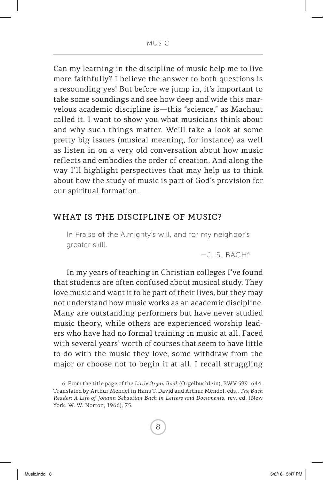Can my learning in the discipline of music help me to live more faithfully? I believe the answer to both questions is a resounding yes! But before we jump in, it's important to take some soundings and see how deep and wide this marvelous academic discipline is—this "science," as Machaut called it. I want to show you what musicians think about and why such things matter. We'll take a look at some pretty big issues (musical meaning, for instance) as well as listen in on a very old conversation about how music reflects and embodies the order of creation. And along the way I'll highlight perspectives that may help us to think about how the study of music is part of God's provision for our spiritual formation.

#### WHAT IS THE DISCIPLINE OF MUSIC?

In Praise of the Almighty's will, and for my neighbor's greater skill.

 $-J.S. BACH<sup>6</sup>$ 

In my years of teaching in Christian colleges I've found that students are often confused about musical study. They love music and want it to be part of their lives, but they may not understand how music works as an academic discipline. Many are outstanding performers but have never studied music theory, while others are experienced worship leaders who have had no formal training in music at all. Faced with several years' worth of courses that seem to have little to do with the music they love, some withdraw from the major or choose not to begin it at all. I recall struggling

<sup>6.</sup> From the title page of the *Little Organ Book* (Orgelbüchlein), BWV 599–644. Translated by Arthur Mendel in Hans T. David and Arthur Mendel, eds., *The Bach Reader: A Life of Johann Sebastian Bach in Letters and Documents*, rev. ed. (New York: W. W. Norton, 1966), 75.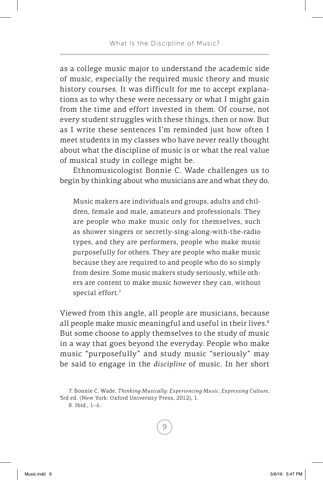as a college music major to understand the academic side of music, especially the required music theory and music history courses. It was difficult for me to accept explanations as to why these were necessary or what I might gain from the time and effort invested in them. Of course, not every student struggles with these things, then or now. But as I write these sentences I'm reminded just how often I meet students in my classes who have never really thought about what the discipline of music is or what the real value of musical study in college might be.

Ethnomusicologist Bonnie C. Wade challenges us to begin by thinking about who musicians are and what they do.

Music makers are individuals and groups, adults and children, female and male, amateurs and professionals. They are people who make music only for themselves, such as shower singers or secretly-sing-along-with-the-radio types, and they are performers, people who make music purposefully for others. They are people who make music because they are required to and people who do so simply from desire. Some music makers study seriously, while others are content to make music however they can, without special effort.<sup>7</sup>

Viewed from this angle, all people are musicians, because all people make music meaningful and useful in their lives.<sup>8</sup> But some choose to apply themselves to the study of music in a way that goes beyond the everyday. People who make music "purposefully" and study music "seriously" may be said to engage in the *discipline* of music. In her short

8. Ibid., 1–6.

<sup>7.</sup> Bonnie C. Wade, *Thinking Musically: Experiencing Music, Expressing Culture*, 3rd ed. (New York: Oxford University Press, 2012), 1.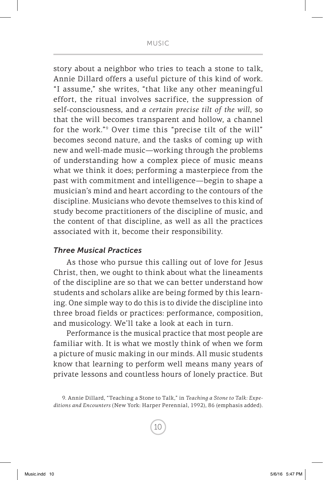story about a neighbor who tries to teach a stone to talk, Annie Dillard offers a useful picture of this kind of work. "I assume," she writes, "that like any other meaningful effort, the ritual involves sacrifice, the suppression of self-consciousness, and *a certain precise tilt of the will*, so that the will becomes transparent and hollow, a channel for the work."9 Over time this "precise tilt of the will" becomes second nature, and the tasks of coming up with new and well-made music—working through the problems of understanding how a complex piece of music means what we think it does; performing a masterpiece from the past with commitment and intelligence—begin to shape a musician's mind and heart according to the contours of the discipline. Musicians who devote themselves to this kind of study become practitioners of the discipline of music, and the content of that discipline, as well as all the practices associated with it, become their responsibility.

#### *Three Musical Practices*

As those who pursue this calling out of love for Jesus Christ, then, we ought to think about what the lineaments of the discipline are so that we can better understand how students and scholars alike are being formed by this learning. One simple way to do this is to divide the discipline into three broad fields or practices: performance, composition, and musicology. We'll take a look at each in turn.

Performance is the musical practice that most people are familiar with. It is what we mostly think of when we form a picture of music making in our minds. All music students know that learning to perform well means many years of private lessons and countless hours of lonely practice. But

<sup>9.</sup> Annie Dillard, "Teaching a Stone to Talk," in *Teaching a Stone to Talk: Expeditions and Encounters* (New York: Harper Perennial, 1992), 86 (emphasis added).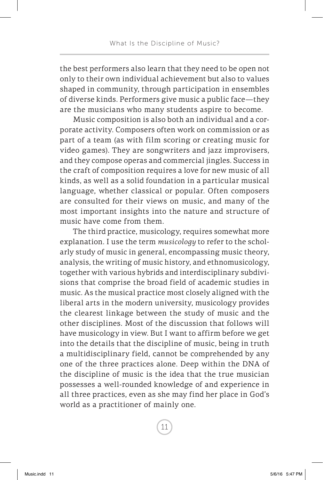the best performers also learn that they need to be open not only to their own individual achievement but also to values shaped in community, through participation in ensembles of diverse kinds. Performers give music a public face—they are the musicians who many students aspire to become.

Music composition is also both an individual and a corporate activity. Composers often work on commission or as part of a team (as with film scoring or creating music for video games). They are songwriters and jazz improvisers, and they compose operas and commercial jingles. Success in the craft of composition requires a love for new music of all kinds, as well as a solid foundation in a particular musical language, whether classical or popular. Often composers are consulted for their views on music, and many of the most important insights into the nature and structure of music have come from them.

The third practice, musicology, requires somewhat more explanation. I use the term *musicology* to refer to the scholarly study of music in general, encompassing music theory, analysis, the writing of music history, and ethnomusicology, together with various hybrids and interdisciplinary subdivisions that comprise the broad field of academic studies in music. As the musical practice most closely aligned with the liberal arts in the modern university, musicology provides the clearest linkage between the study of music and the other disciplines. Most of the discussion that follows will have musicology in view. But I want to affirm before we get into the details that the discipline of music, being in truth a multidisciplinary field, cannot be comprehended by any one of the three practices alone. Deep within the DNA of the discipline of music is the idea that the true musician possesses a well-rounded knowledge of and experience in all three practices, even as she may find her place in God's world as a practitioner of mainly one.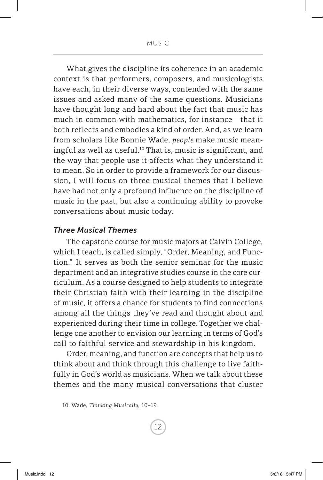What gives the discipline its coherence in an academic context is that performers, composers, and musicologists have each, in their diverse ways, contended with the same issues and asked many of the same questions. Musicians have thought long and hard about the fact that music has much in common with mathematics, for instance—that it both reflects and embodies a kind of order. And, as we learn from scholars like Bonnie Wade, *people* make music meaningful as well as useful.<sup>10</sup> That is, music is significant, and the way that people use it affects what they understand it to mean. So in order to provide a framework for our discussion, I will focus on three musical themes that I believe have had not only a profound influence on the discipline of music in the past, but also a continuing ability to provoke conversations about music today.

#### *Three Musical Themes*

The capstone course for music majors at Calvin College, which I teach, is called simply, "Order, Meaning, and Function." It serves as both the senior seminar for the music department and an integrative studies course in the core curriculum. As a course designed to help students to integrate their Christian faith with their learning in the discipline of music, it offers a chance for students to find connections among all the things they've read and thought about and experienced during their time in college. Together we challenge one another to envision our learning in terms of God's call to faithful service and stewardship in his kingdom.

Order, meaning, and function are concepts that help us to think about and think through this challenge to live faithfully in God's world as musicians. When we talk about these themes and the many musical conversations that cluster

<sup>10.</sup> Wade, *Thinking Musically*, 10–19.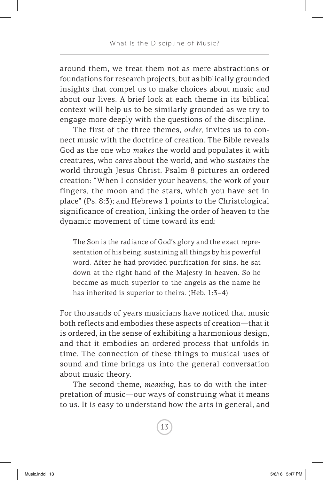around them, we treat them not as mere abstractions or foundations for research projects, but as biblically grounded insights that compel us to make choices about music and about our lives. A brief look at each theme in its biblical context will help us to be similarly grounded as we try to engage more deeply with the questions of the discipline.

The first of the three themes, *order*, invites us to connect music with the doctrine of creation. The Bible reveals God as the one who *makes* the world and populates it with creatures, who *cares* about the world, and who *sustains* the world through Jesus Christ. Psalm 8 pictures an ordered creation: "When I consider your heavens, the work of your fingers, the moon and the stars, which you have set in place" (Ps. 8:3); and Hebrews 1 points to the Christological significance of creation, linking the order of heaven to the dynamic movement of time toward its end:

The Son is the radiance of God's glory and the exact representation of his being, sustaining all things by his powerful word. After he had provided purification for sins, he sat down at the right hand of the Majesty in heaven. So he became as much superior to the angels as the name he has inherited is superior to theirs. (Heb. 1:3-4)

For thousands of years musicians have noticed that music both reflects and embodies these aspects of creation—that it is ordered, in the sense of exhibiting a harmonious design, and that it embodies an ordered process that unfolds in time. The connection of these things to musical uses of sound and time brings us into the general conversation about music theory.

The second theme, *meaning*, has to do with the interpretation of music—our ways of construing what it means to us. It is easy to understand how the arts in general, and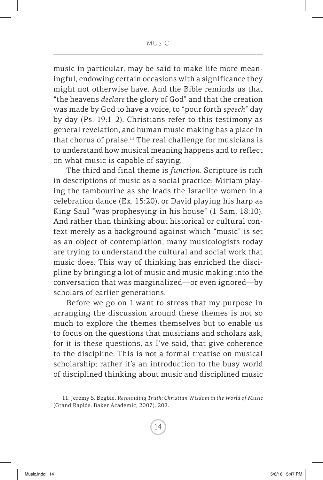music in particular, may be said to make life more meaningful, endowing certain occasions with a significance they might not otherwise have. And the Bible reminds us that "the heavens *declare* the glory of God" and that the creation was made by God to have a voice, to "pour forth *speech*" day by day (Ps. 19:1–2). Christians refer to this testimony as general revelation, and human music making has a place in that chorus of praise.<sup>11</sup> The real challenge for musicians is to understand how musical meaning happens and to reflect on what music is capable of saying.

The third and final theme is *function*. Scripture is rich in descriptions of music as a social practice: Miriam playing the tambourine as she leads the Israelite women in a celebration dance (Ex. 15:20), or David playing his harp as King Saul "was prophesying in his house" (1 Sam. 18:10). And rather than thinking about historical or cultural context merely as a background against which "music" is set as an object of contemplation, many musicologists today are trying to understand the cultural and social work that music does. This way of thinking has enriched the discipline by bringing a lot of music and music making into the conversation that was marginalized—or even ignored—by scholars of earlier generations.

Before we go on I want to stress that my purpose in arranging the discussion around these themes is not so much to explore the themes themselves but to enable us to focus on the questions that musicians and scholars ask; for it is these questions, as I've said, that give coherence to the discipline. This is not a formal treatise on musical scholarship; rather it's an introduction to the busy world of disciplined thinking about music and disciplined music

<sup>11.</sup> Jeremy S. Begbie, *Resounding Truth: Christian Wisdom in the World of Music* (Grand Rapids: Baker Academic, 2007), 202.